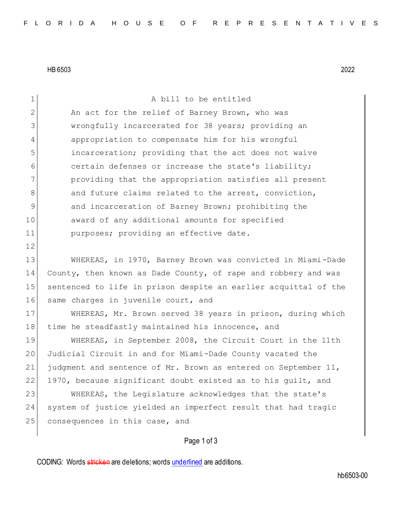HB 6503 2022

| $\mathbf 1$  | A bill to be entitled                                           |
|--------------|-----------------------------------------------------------------|
| $\mathbf{2}$ | An act for the relief of Barney Brown, who was                  |
| 3            | wrongfully incarcerated for 38 years; providing an              |
| 4            | appropriation to compensate him for his wrongful                |
| 5            | incarceration; providing that the act does not waive            |
| 6            | certain defenses or increase the state's liability;             |
| 7            | providing that the appropriation satisfies all present          |
| 8            | and future claims related to the arrest, conviction,            |
| $\mathsf 9$  | and incarceration of Barney Brown; prohibiting the              |
| 10           | award of any additional amounts for specified                   |
| 11           | purposes; providing an effective date.                          |
| 12           |                                                                 |
| 13           | WHEREAS, in 1970, Barney Brown was convicted in Miami-Dade      |
| 14           | County, then known as Dade County, of rape and robbery and was  |
| 15           | sentenced to life in prison despite an earlier acquittal of the |
| 16           | same charges in juvenile court, and                             |
| 17           | WHEREAS, Mr. Brown served 38 years in prison, during which      |
| 18           | time he steadfastly maintained his innocence, and               |
| 19           | WHEREAS, in September 2008, the Circuit Court in the 11th       |
| 20           | Judicial Circuit in and for Miami-Dade County vacated the       |
| 21           | judgment and sentence of Mr. Brown as entered on September 11,  |
| 22           | 1970, because significant doubt existed as to his guilt, and    |
| 23           | WHEREAS, the Legislature acknowledges that the state's          |
| 24           | system of justice yielded an imperfect result that had tragic   |
| 25           | consequences in this case, and                                  |
|              |                                                                 |

Page 1 of 3

CODING: Words stricken are deletions; words underlined are additions.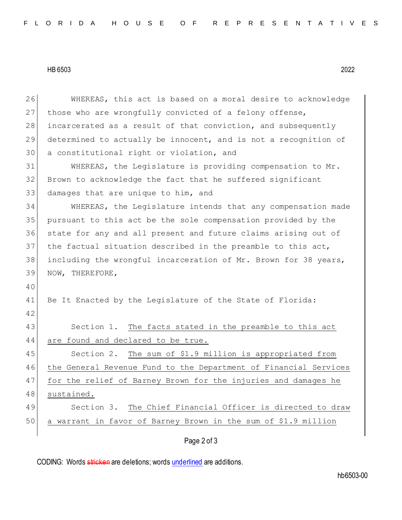## HB 6503 2022

Page 2 of 3 26 WHEREAS, this act is based on a moral desire to acknowledge 27 those who are wrongfully convicted of a felony offense, 28 incarcerated as a result of that conviction, and subsequently 29 determined to actually be innocent, and is not a recognition of 30 a constitutional right or violation, and 31 WHEREAS, the Legislature is providing compensation to Mr. 32 Brown to acknowledge the fact that he suffered significant 33 damages that are unique to him, and 34 WHEREAS, the Legislature intends that any compensation made 35 pursuant to this act be the sole compensation provided by the 36 state for any and all present and future claims arising out of 37 the factual situation described in the preamble to this act, 38 including the wrongful incarceration of Mr. Brown for 38 years, 39 NOW, THEREFORE, 40 41 Be It Enacted by the Legislature of the State of Florida: 42 43 Section 1. The facts stated in the preamble to this act 44 are found and declared to be true. 45 Section 2. The sum of \$1.9 million is appropriated from 46 the General Revenue Fund to the Department of Financial Services 47 for the relief of Barney Brown for the injuries and damages he 48 sustained. 49 Section 3. The Chief Financial Officer is directed to draw 50 a warrant in favor of Barney Brown in the sum of \$1.9 million

CODING: Words stricken are deletions; words underlined are additions.